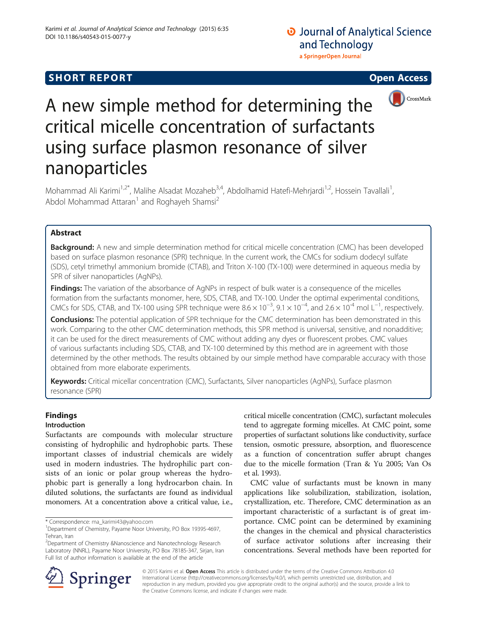# **SHORT REPORT SHORT CONSTRUCTED ACCESS**

## **O** Journal of Analytical Science and Technology a SpringerOpen Journal



# A new simple method for determining the critical micelle concentration of surfactants using surface plasmon resonance of silver nanoparticles

Mohammad Ali Karimi<sup>1,2\*</sup>, Malihe Alsadat Mozaheb<sup>3,4</sup>, Abdolhamid Hatefi-Mehrjardi<sup>1,2</sup>, Hossein Tavallali<sup>1</sup>, , Abdol Mohammad Attaran<sup>1</sup> and Roghayeh Shamsi<sup>2</sup>

#### Abstract

**Background:** A new and simple determination method for critical micelle concentration (CMC) has been developed based on surface plasmon resonance (SPR) technique. In the current work, the CMCs for sodium dodecyl sulfate (SDS), cetyl trimethyl ammonium bromide (CTAB), and Triton X-100 (TX-100) were determined in aqueous media by SPR of silver nanoparticles (AgNPs).

Findings: The variation of the absorbance of AgNPs in respect of bulk water is a consequence of the micelles formation from the surfactants monomer, here, SDS, CTAB, and TX-100. Under the optimal experimental conditions, CMCs for SDS, CTAB, and TX-100 using SPR technique were  $8.6 \times 10^{-3}$ ,  $9.1 \times 10^{-4}$ , and  $2.6 \times 10^{-4}$  mol L<sup>-1</sup>, respectively.

Conclusions: The potential application of SPR technique for the CMC determination has been demonstrated in this work. Comparing to the other CMC determination methods, this SPR method is universal, sensitive, and nonadditive; it can be used for the direct measurements of CMC without adding any dyes or fluorescent probes. CMC values of various surfactants including SDS, CTAB, and TX-100 determined by this method are in agreement with those determined by the other methods. The results obtained by our simple method have comparable accuracy with those obtained from more elaborate experiments.

Keywords: Critical micellar concentration (CMC), Surfactants, Silver nanoparticles (AgNPs), Surface plasmon resonance (SPR)

#### Findings

#### Introduction

Surfactants are compounds with molecular structure consisting of hydrophilic and hydrophobic parts. These important classes of industrial chemicals are widely used in modern industries. The hydrophilic part consists of an ionic or polar group whereas the hydrophobic part is generally a long hydrocarbon chain. In diluted solutions, the surfactants are found as individual monomers. At a concentration above a critical value, i.e.,

<sup>2</sup>Department of Chemistry &Nanoscience and Nanotechnology Research Laboratory (NNRL), Payame Noor University, PO Box 78185-347, Sirjan, Iran Full list of author information is available at the end of the article

critical micelle concentration (CMC), surfactant molecules tend to aggregate forming micelles. At CMC point, some properties of surfactant solutions like conductivity, surface tension, osmotic pressure, absorption, and fluorescence as a function of concentration suffer abrupt changes due to the micelle formation (Tran & Yu [2005](#page-7-0); Van Os et al. [1993](#page-7-0)).

CMC value of surfactants must be known in many applications like solubilization, stabilization, isolation, crystallization, etc. Therefore, CMC determination as an important characteristic of a surfactant is of great importance. CMC point can be determined by examining the changes in the chemical and physical characteristics of surface activator solutions after increasing their concentrations. Several methods have been reported for



© 2015 Karimi et al. Open Access This article is distributed under the terms of the Creative Commons Attribution 4.0 International License ([http://creativecommons.org/licenses/by/4.0/\)](http://creativecommons.org/licenses/by/4.0/), which permits unrestricted use, distribution, and reproduction in any medium, provided you give appropriate credit to the original author(s) and the source, provide a link to the Creative Commons license, and indicate if changes were made.

<sup>\*</sup> Correspondence: [ma\\_karimi43@yahoo.com](mailto:ma_karimi43@yahoo.com) <sup>1</sup>

Department of Chemistry, Payame Noor University, PO Box 19395-4697, Tehran, Iran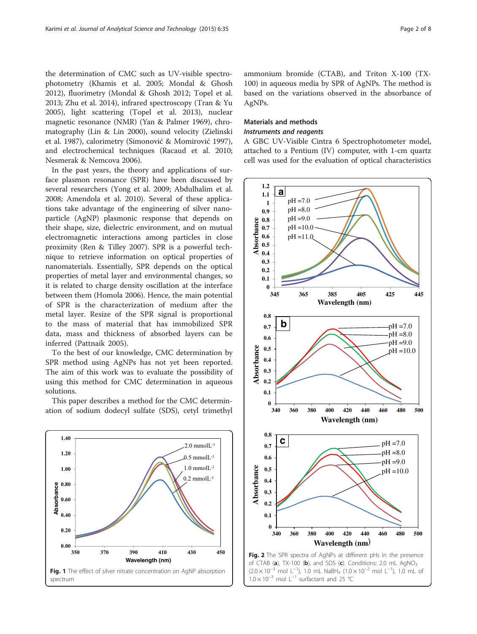<span id="page-1-0"></span>the determination of CMC such as UV-visible spectrophotometry (Khamis et al. [2005](#page-6-0); Mondal & Ghosh [2012](#page-6-0)), fluorimetry (Mondal & Ghosh [2012;](#page-6-0) Topel et al. [2013](#page-7-0); Zhu et al. [2014](#page-7-0)), infrared spectroscopy (Tran & Yu [2005](#page-7-0)), light scattering (Topel et al. [2013\)](#page-7-0), nuclear magnetic resonance (NMR) (Yan & Palmer [1969\)](#page-7-0), chromatography (Lin & Lin [2000\)](#page-6-0), sound velocity (Zielinski et al. [1987](#page-7-0)), calorimetry (Simonović & Momirović [1997](#page-7-0)), and electrochemical techniques (Racaud et al. [2010](#page-7-0); Nesmerak & Nemcova [2006\)](#page-6-0).

In the past years, the theory and applications of surface plasmon resonance (SPR) have been discussed by several researchers (Yong et al. [2009;](#page-7-0) Abdulhalim et al. [2008](#page-6-0); Amendola et al. [2010\)](#page-6-0). Several of these applications take advantage of the engineering of silver nanoparticle (AgNP) plasmonic response that depends on their shape, size, dielectric environment, and on mutual electromagnetic interactions among particles in close proximity (Ren & Tilley [2007](#page-7-0)). SPR is a powerful technique to retrieve information on optical properties of nanomaterials. Essentially, SPR depends on the optical properties of metal layer and environmental changes, so it is related to charge density oscillation at the interface between them (Homola [2006\)](#page-6-0). Hence, the main potential of SPR is the characterization of medium after the metal layer. Resize of the SPR signal is proportional to the mass of material that has immobilized SPR data, mass and thickness of absorbed layers can be inferred (Pattnaik [2005\)](#page-7-0).

To the best of our knowledge, CMC determination by SPR method using AgNPs has not yet been reported. The aim of this work was to evaluate the possibility of using this method for CMC determination in aqueous solutions.

This paper describes a method for the CMC determination of sodium dodecyl sulfate (SDS), cetyl trimethyl



ammonium bromide (CTAB), and Triton X-100 (TX-100) in aqueous media by SPR of AgNPs. The method is based on the variations observed in the absorbance of AgNPs.

#### Materials and methods Instruments and reagents

A GBC UV-Visible Cintra 6 Spectrophotometer model, attached to a Pentium (IV) computer, with 1-cm quartz cell was used for the evaluation of optical characteristics



 $(2.0 \times 10^{-3} \text{ mol L}^{-1})$ , 1.0 mL NaBH<sub>4</sub>  $(1.0 \times 10^{-2} \text{ mol L}^{-1})$ , 1.0 mL of

 $1.0 \times 10^{-3}$  mol L<sup>-1</sup> surfactant and 25 °C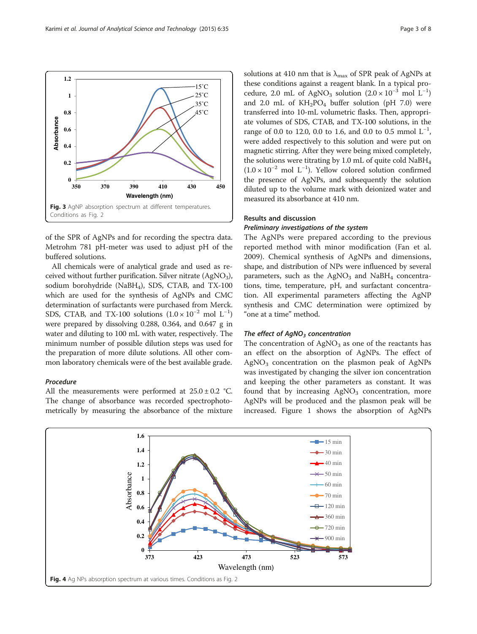of the SPR of AgNPs and for recording the spectra data. Metrohm 781 pH-meter was used to adjust pH of the buffered solutions.

All chemicals were of analytical grade and used as received without further purification. Silver nitrate  $(AgNO<sub>3</sub>)$ , sodium borohydride (NaBH<sub>4</sub>), SDS, CTAB, and TX-100 which are used for the synthesis of AgNPs and CMC determination of surfactants were purchased from Merck. SDS, CTAB, and TX-100 solutions  $(1.0 \times 10^{-2} \text{ mol L}^{-1})$ were prepared by dissolving 0.288, 0.364, and 0.647 g in water and diluting to 100 mL with water, respectively. The minimum number of possible dilution steps was used for the preparation of more dilute solutions. All other common laboratory chemicals were of the best available grade.

#### Procedure

All the measurements were performed at  $25.0 \pm 0.2$  °C. The change of absorbance was recorded spectrophotometrically by measuring the absorbance of the mixture solutions at 410 nm that is  $\lambda_{\text{max}}$  of SPR peak of AgNPs at these conditions against a reagent blank. In a typical procedure, 2.0 mL of AgNO<sub>3</sub> solution  $(2.0 \times 10^{-3} \text{ mol } L^{-1})$ and 2.0 mL of  $KH_2PO_4$  buffer solution (pH 7.0) were transferred into 10-mL volumetric flasks. Then, appropriate volumes of SDS, CTAB, and TX-100 solutions, in the range of 0.0 to 12.0, 0.0 to 1.6, and 0.0 to 0.5 mmol  $L^{-1}$ , were added respectively to this solution and were put on magnetic stirring. After they were being mixed completely, the solutions were titrating by 1.0 mL of quite cold  $NaBH<sub>4</sub>$ (1.0 × 10−<sup>2</sup> mol L−<sup>1</sup> ). Yellow colored solution confirmed the presence of AgNPs, and subsequently the solution diluted up to the volume mark with deionized water and measured its absorbance at 410 nm.

#### Results and discussion

#### Preliminary investigations of the system

The AgNPs were prepared according to the previous reported method with minor modification (Fan et al. [2009\)](#page-6-0). Chemical synthesis of AgNPs and dimensions, shape, and distribution of NPs were influenced by several parameters, such as the  $AgNO<sub>3</sub>$  and NaBH<sub>4</sub> concentrations, time, temperature, pH, and surfactant concentration. All experimental parameters affecting the AgNP synthesis and CMC determination were optimized by "one at a time" method.

#### The effect of  $AqNO<sub>3</sub>$  concentration

The concentration of  $AgNO<sub>3</sub>$  as one of the reactants has an effect on the absorption of AgNPs. The effect of  $AgNO<sub>3</sub>$  concentration on the plasmon peak of AgNPs was investigated by changing the silver ion concentration and keeping the other parameters as constant. It was found that by increasing  $AgNO<sub>3</sub>$  concentration, more AgNPs will be produced and the plasmon peak will be increased. Figure [1](#page-1-0) shows the absorption of AgNPs



<span id="page-2-0"></span>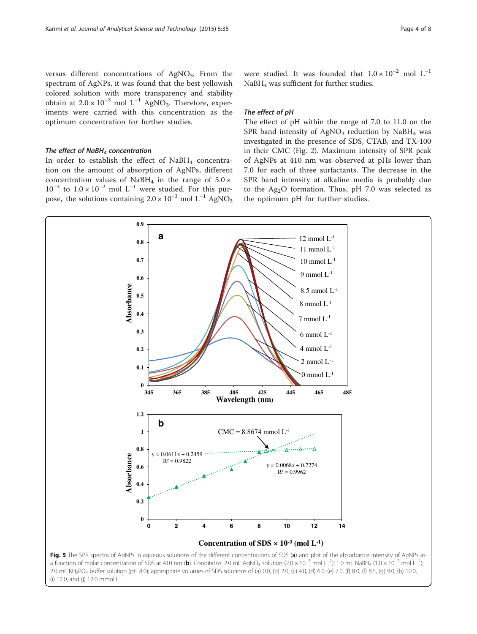<span id="page-3-0"></span>versus different concentrations of  $AgNO<sub>3</sub>$ . From the spectrum of AgNPs, it was found that the best yellowish colored solution with more transparency and stability obtain at  $2.0 \times 10^{-3}$  mol L<sup>-1</sup> AgNO<sub>3</sub>. Therefore, experiments were carried with this concentration as the optimum concentration for further studies.

#### The effect of  $N$ aBH<sub>4</sub> concentration

In order to establish the effect of  $N$ aBH<sub>4</sub> concentration on the amount of absorption of AgNPs, different concentration values of NaBH<sub>4</sub> in the range of  $5.0 \times$  $10^{-4}$  to  $1.0 \times 10^{-2}$  mol L<sup>-1</sup> were studied. For this purpose, the solutions containing  $2.0 \times 10^{-3}$  mol L<sup>-1</sup> AgNO<sub>3</sub>

were studied. It was founded that  $1.0 \times 10^{-2}$  mol L<sup>-1</sup> NaBH4 was sufficient for further studies.

#### The effect of pH

The effect of pH within the range of 7.0 to 11.0 on the SPR band intensity of  $AgNO<sub>3</sub>$  reduction by NaBH<sub>4</sub> was investigated in the presence of SDS, CTAB, and TX-100 in their CMC (Fig. [2\)](#page-1-0). Maximum intensity of SPR peak of AgNPs at 410 nm was observed at pHs lower than 7.0 for each of three surfactants. The decrease in the SPR band intensity at alkaline media is probably due to the  $Ag<sub>2</sub>O$  formation. Thus, pH 7.0 was selected as the optimum pH for further studies.



(i) 11.0, and (j) 12.0 mmol  $L^{-1}$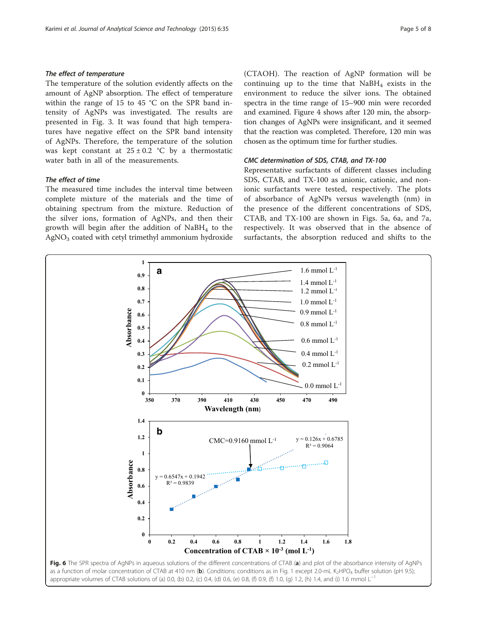#### <span id="page-4-0"></span>The effect of temperature

The temperature of the solution evidently affects on the amount of AgNP absorption. The effect of temperature within the range of 15 to 45 °C on the SPR band intensity of AgNPs was investigated. The results are presented in Fig. [3.](#page-2-0) It was found that high temperatures have negative effect on the SPR band intensity of AgNPs. Therefore, the temperature of the solution was kept constant at  $25 \pm 0.2$  °C by a thermostatic water bath in all of the measurements.

#### The effect of time

The measured time includes the interval time between complete mixture of the materials and the time of obtaining spectrum from the mixture. Reduction of the silver ions, formation of AgNPs, and then their growth will begin after the addition of  $N$ aBH<sub>4</sub> to the  $AgNO<sub>3</sub>$  coated with cetyl trimethyl ammonium hydroxide (CTAOH). The reaction of AgNP formation will be continuing up to the time that  $NaBH<sub>4</sub>$  exists in the environment to reduce the silver ions. The obtained spectra in the time range of 15–900 min were recorded and examined. Figure [4](#page-2-0) shows after 120 min, the absorption changes of AgNPs were insignificant, and it seemed that the reaction was completed. Therefore, 120 min was chosen as the optimum time for further studies.

#### CMC determination of SDS, CTAB, and TX-100

Representative surfactants of different classes including SDS, CTAB, and TX-100 as anionic, cationic, and nonionic surfactants were tested, respectively. The plots of absorbance of AgNPs versus wavelength (nm) in the presence of the different concentrations of SDS, CTAB, and TX-100 are shown in Figs. [5a,](#page-3-0) 6a, and [7a](#page-5-0), respectively. It was observed that in the absence of surfactants, the absorption reduced and shifts to the

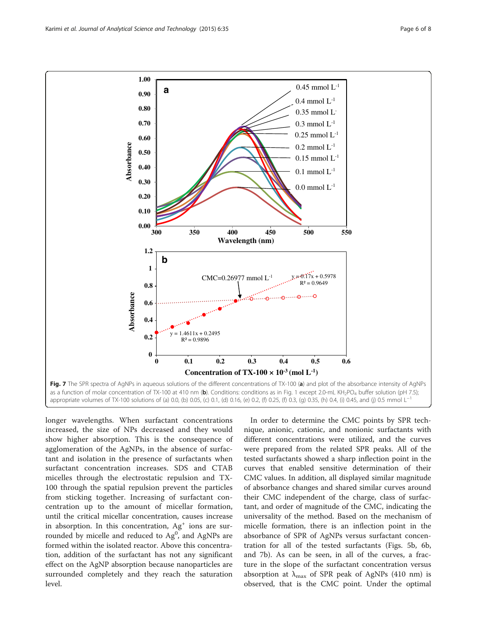<span id="page-5-0"></span>

longer wavelengths. When surfactant concentrations increased, the size of NPs decreased and they would show higher absorption. This is the consequence of agglomeration of the AgNPs, in the absence of surfactant and isolation in the presence of surfactants when surfactant concentration increases. SDS and CTAB micelles through the electrostatic repulsion and TX-100 through the spatial repulsion prevent the particles from sticking together. Increasing of surfactant concentration up to the amount of micellar formation, until the critical micellar concentration, causes increase in absorption. In this concentration,  $Ag<sup>+</sup>$  ions are surrounded by micelle and reduced to  $Ag^0$ , and AgNPs are formed within the isolated reactor. Above this concentration, addition of the surfactant has not any significant effect on the AgNP absorption because nanoparticles are surrounded completely and they reach the saturation level.

In order to determine the CMC points by SPR technique, anionic, cationic, and nonionic surfactants with different concentrations were utilized, and the curves were prepared from the related SPR peaks. All of the tested surfactants showed a sharp inflection point in the curves that enabled sensitive determination of their CMC values. In addition, all displayed similar magnitude of absorbance changes and shared similar curves around their CMC independent of the charge, class of surfactant, and order of magnitude of the CMC, indicating the universality of the method. Based on the mechanism of micelle formation, there is an inflection point in the absorbance of SPR of AgNPs versus surfactant concentration for all of the tested surfactants (Figs. [5b,](#page-3-0) [6b](#page-4-0), and 7b). As can be seen, in all of the curves, a fracture in the slope of the surfactant concentration versus absorption at  $\lambda_{\text{max}}$  of SPR peak of AgNPs (410 nm) is observed, that is the CMC point. Under the optimal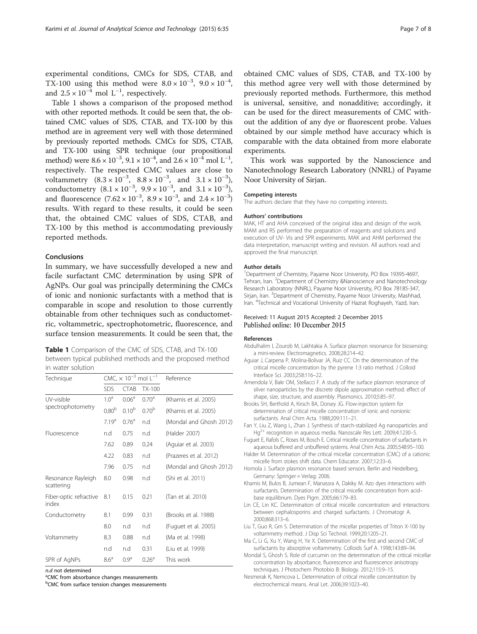<span id="page-6-0"></span>experimental conditions, CMCs for SDS, CTAB, and TX-100 using this method were  $8.0 \times 10^{-3}$ ,  $9.0 \times 10^{-4}$ , and  $2.5 \times 10^{-4}$  mol  $L^{-1}$ , respectively.

Table 1 shows a comparison of the proposed method with other reported methods. It could be seen that, the obtained CMC values of SDS, CTAB, and TX-100 by this method are in agreement very well with those determined by previously reported methods. CMCs for SDS, CTAB, and TX-100 using SPR technique (our propositional method) were  $8.6 \times 10^{-3}$ ,  $9.1 \times 10^{-4}$ , and  $2.6 \times 10^{-4}$  mol  $L^{-1}$ , respectively. The respected CMC values are close to voltammetry  $(8.3 \times 10^{-3}, 8.8 \times 10^{-3}, \text{ and } 3.1 \times 10^{-3})$ , conductometry  $(8.1 \times 10^{-3}, 9.9 \times 10^{-3}, \text{ and } 3.1 \times 10^{-3})$ , and fluorescence  $(7.62 \times 10^{-3}, 8.9 \times 10^{-3}, \text{ and } 2.4 \times 10^{-3})$ results. With regard to these results, it could be seen that, the obtained CMC values of SDS, CTAB, and TX-100 by this method is accommodating previously reported methods.

#### Conclusions

In summary, we have successfully developed a new and facile surfactant CMC determination by using SPR of AgNPs. Our goal was principally determining the CMCs of ionic and nonionic surfactants with a method that is comparable in scope and resolution to those currently obtainable from other techniques such as conductometric, voltammetric, spectrophotometric, fluorescence, and surface tension measurements. It could be seen that, the

| Table 1 Comparison of the CMC of SDS, CTAB, and TX-100    |
|-----------------------------------------------------------|
| between typical published methods and the proposed method |
| in water solution                                         |

| Technique                        | CMC, $\times$ 10 <sup>-3</sup> mol L <sup>-1</sup> |                   |                   | Reference               |
|----------------------------------|----------------------------------------------------|-------------------|-------------------|-------------------------|
|                                  | SDS                                                | <b>CTAB</b>       | $TX-100$          |                         |
| UV-visible<br>spectrophotometry  | 1.0 <sup>a</sup>                                   | 0.06 <sup>a</sup> | 0.70 <sup>a</sup> | (Khamis et al. 2005)    |
|                                  | 0.80 <sup>b</sup>                                  | $0.10^{b}$        | 0.70 <sup>b</sup> | (Khamis et al. 2005)    |
|                                  | 7.19 <sup>a</sup>                                  | $0.76^{\rm a}$    | n.d               | (Mondal and Ghosh 2012) |
| Fluorescence                     | n.d                                                | 0.75              | n.d               | (Halder 2007)           |
|                                  | 7.62                                               | 0.89              | 0.24              | (Aquiar et al. 2003)    |
|                                  | 4.22                                               | 0.83              | n.d               | (Prazeres et al. 2012)  |
|                                  | 7.96                                               | 0.75              | n.d               | (Mondal and Ghosh 2012) |
| Resonance Rayleigh<br>scattering | 8.0                                                | 0.98              | n.d               | (Shi et al. 2011)       |
| Fiber-optic refractive<br>index  | 8.1                                                | 0.15              | 0.21              | (Tan et al. 2010)       |
| Conductometry                    | 8.1                                                | 0.99              | 0.31              | (Brooks et al. 1988)    |
|                                  | 8.0                                                | n.d               | n.d               | (Fuguet et al. 2005)    |
| Voltammetry                      | 8.3                                                | 0.88              | n.d               | (Ma et al. 1998)        |
|                                  | n.d                                                | n.d               | 0.31              | (Liu et al. 1999)       |
| SPR of AgNPs                     | 8.6 <sup>a</sup>                                   | 0.9 <sup>a</sup>  | 0.26 <sup>a</sup> | This work               |

 $n.d$  not determined

<sup>a</sup>CMC from absorbance changes measurements

b CMC from surface tension changes measurements

obtained CMC values of SDS, CTAB, and TX-100 by this method agree very well with those determined by previously reported methods. Furthermore, this method is universal, sensitive, and nonadditive; accordingly, it can be used for the direct measurements of CMC without the addition of any dye or fluorescent probe. Values obtained by our simple method have accuracy which is comparable with the data obtained from more elaborate experiments.

This work was supported by the Nanoscience and Nanotechnology Research Laboratory (NNRL) of Payame Noor University of Sirjan.

#### Competing interests

The authors declare that they have no competing interests.

#### Authors' contributions

MAK, HT and AHA conceived of the original idea and design of the work. MAM and RS performed the preparation of reagents and solutions and execution of UV- Vis and SPR experiments. MAK and AHM performed the data interpretation, manuscript writing and revision. All authors read and approved the final manuscript.

#### Author details

<sup>1</sup>Department of Chemistry, Payame Noor University, PO Box 19395-4697, Tehran, Iran. <sup>2</sup>Department of Chemistry &Nanoscience and Nanotechnology Research Laboratory (NNRL), Payame Noor University, PO Box 78185-347, Sirjan, Iran. <sup>3</sup> Department of Chemistry, Payame Noor University, Mashhad Iran. <sup>4</sup>Technical and Vocational University of Hazrat Roghayeh, Yazd, Iran.

#### Received: 11 August 2015 Accepted: 2 December 2015 Published online: 10 December 2015

#### References

- Abdulhalim I, Zourob M, Lakhtakia A. Surface plasmon resonance for biosensing: a mini-review. Electromagnetics. 2008;28:214–42.
- Aguiar J, Carpena P, Molina-Bolivar JA, Ruiz CC. On the determination of the critical micelle concentration by the pyrene 1:3 ratio method. J Colloid Interface Sci. 2003;258:116–22.
- Amendola V, Bakr OM, Stellacci F. A study of the surface plasmon resonance of silver nanoparticles by the discrete dipole approximation method: effect of shape, size, structure, and assembly. Plasmonics. 2010;5:85–97.
- Brooks SH, Berthold A, Kirsch BA, Dorsey JG. Flow-injection system for determination of critical micelle concentration of ionic and nonionic surfactants. Anal Chim Acta. 1988;209:111–21.
- Fan Y, Liu Z, Wang L, Zhan J. Synthesis of starch-stabilized Ag nanoparticles and Hg<sup>2+</sup> recognition in aqueous media. Nanoscale Res Lett. 2009;4:1230-5.
- Fuguet E, Rafols C, Roses M, Bosch E. Critical micelle concentration of surfactants in aqueous buffered and unbuffered systems. Anal Chim Acta. 2005;548:95–100.
- Halder M. Determination of the critical micellar concentration (CMC) of a cationic micelle from stokes shift data. Chem Educator. 2007;12:33–6.
- Homola J. Surface plasmon resonance based sensors. Berlin and Heidelberg, Germany: Springer = Verlag; 2006.
- Khamis M, Bulos B, Jumean F, Manassra A, Dakiky M. Azo dyes interactions with surfactants. Determination of the critical micelle concentration from acid– base equilibrium. Dyes Pigm. 2005;66:179–83.
- Lin CE, Lin KC. Determination of critical micelle concentration and interactions between cephalosporins and charged surfactants. J Chromatogr A. 2000;868:313–6.
- Liu T, Guo R, Gm S. Determination of the micellar properties of Triton X-100 by voltammetry method. J Disp Sci Technol. 1999;20:1205–21.
- Ma C, Li G, Xu Y, Wang H, Ye X. Determination of the first and second CMC of surfactants by absorptive voltammetry. Colloids Surf A. 1998;143:89–94.
- Mondal S, Ghosh S. Role of curcumin on the determination of the critical micellar concentration by absorbance, fluorescence and fluorescence anisotropy techniques. J Photochem Photobio B: Biology. 2012;115:9–15.
- Nesmerak K, Nemcova L. Determination of critical micelle concentration by electrochemical means. Anal Let. 2006;39:1023–40.